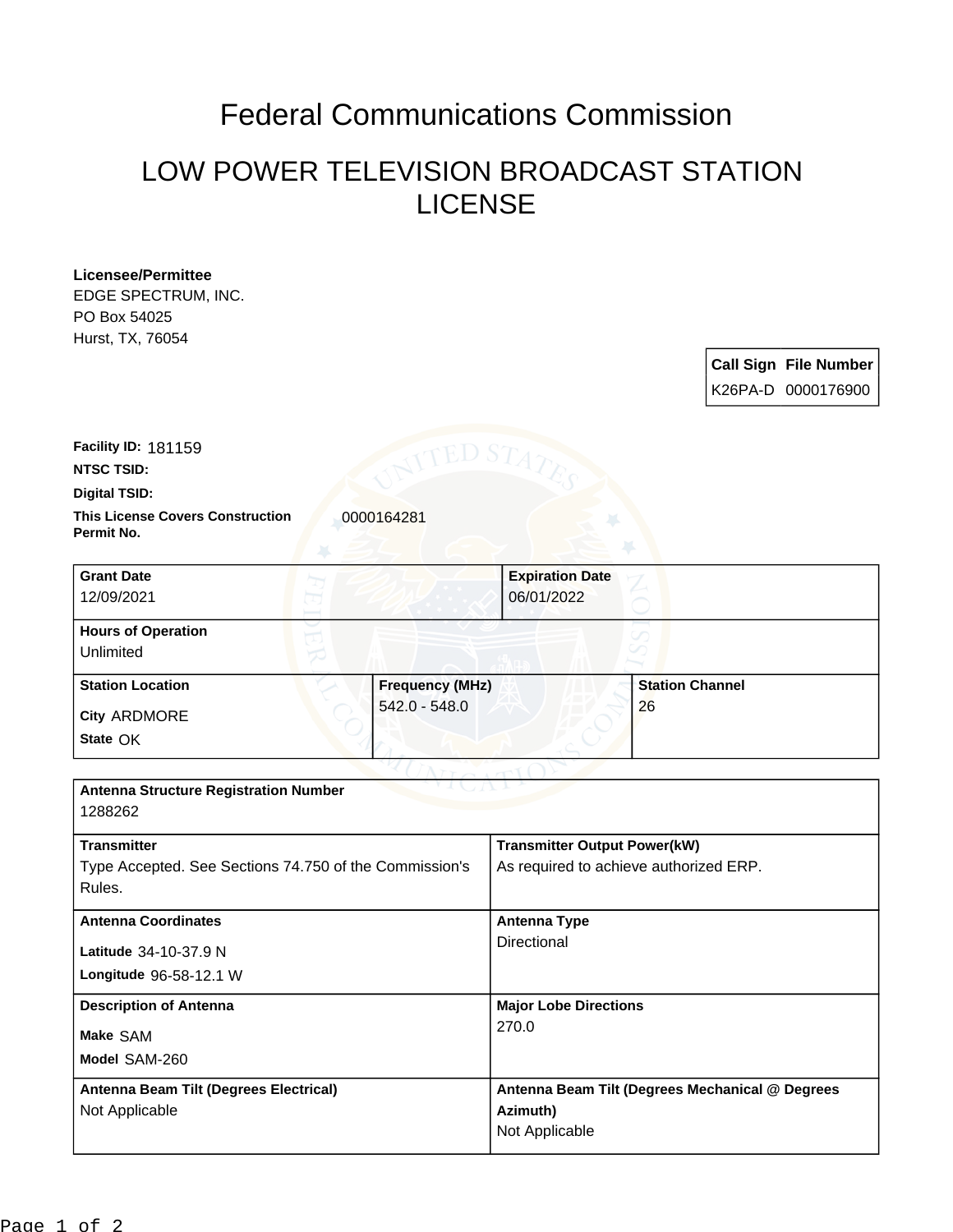## Federal Communications Commission

## LOW POWER TELEVISION BROADCAST STATION LICENSE

| Licensee/Permittee                                                  |                                                 |                              |
|---------------------------------------------------------------------|-------------------------------------------------|------------------------------|
| EDGE SPECTRUM, INC.                                                 |                                                 |                              |
| PO Box 54025                                                        |                                                 |                              |
| Hurst, TX, 76054                                                    |                                                 |                              |
|                                                                     |                                                 | <b>Call Sign File Number</b> |
|                                                                     |                                                 | K26PA-D 0000176900           |
|                                                                     |                                                 |                              |
|                                                                     |                                                 |                              |
| Facility ID: 181159                                                 |                                                 |                              |
| <b>NTSC TSID:</b>                                                   |                                                 |                              |
| Digital TSID:                                                       |                                                 |                              |
| <b>This License Covers Construction</b><br>0000164281<br>Permit No. |                                                 |                              |
| <b>Grant Date</b>                                                   | <b>Expiration Date</b>                          |                              |
| 12/09/2021                                                          | 06/01/2022                                      |                              |
|                                                                     |                                                 |                              |
| <b>Hours of Operation</b>                                           |                                                 |                              |
| Unlimited                                                           |                                                 |                              |
| <b>Frequency (MHz)</b><br><b>Station Location</b>                   | <b>Station Channel</b>                          |                              |
| $542.0 - 548.0$<br>City ARDMORE                                     | 26                                              |                              |
| State OK                                                            |                                                 |                              |
|                                                                     |                                                 |                              |
|                                                                     |                                                 |                              |
| <b>Antenna Structure Registration Number</b>                        |                                                 |                              |
| 1288262                                                             |                                                 |                              |
| <b>Transmitter</b>                                                  | <b>Transmitter Output Power(kW)</b>             |                              |
| Type Accepted. See Sections 74.750 of the Commission's              | As required to achieve authorized ERP.          |                              |
| Rules.                                                              |                                                 |                              |
|                                                                     |                                                 |                              |
| <b>Antenna Coordinates</b>                                          | <b>Antenna Type</b>                             |                              |
| Latitude 34-10-37.9 N                                               | Directional                                     |                              |
| Longitude 96-58-12.1 W                                              |                                                 |                              |
|                                                                     |                                                 |                              |
| <b>Description of Antenna</b>                                       | <b>Major Lobe Directions</b>                    |                              |
| Make SAM                                                            | 270.0                                           |                              |
| Model SAM-260                                                       |                                                 |                              |
|                                                                     |                                                 |                              |
| <b>Antenna Beam Tilt (Degrees Electrical)</b>                       | Antenna Beam Tilt (Degrees Mechanical @ Degrees |                              |
| Not Applicable                                                      | Azimuth)                                        |                              |
|                                                                     | Not Applicable                                  |                              |